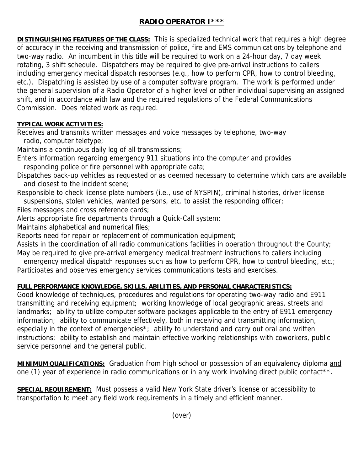## **RADIO OPERATOR I\*\*\***

**DISTINGUISHING FEATURES OF THE CLASS:** This is specialized technical work that requires a high degree of accuracy in the receiving and transmission of police, fire and EMS communications by telephone and two-way radio. An incumbent in this title will be required to work on a 24-hour day, 7 day week rotating, 3 shift schedule. Dispatchers may be required to give pre-arrival instructions to callers including emergency medical dispatch responses (e.g., how to perform CPR, how to control bleeding, etc.). Dispatching is assisted by use of a computer software program. The work is performed under the general supervision of a Radio Operator of a higher level or other individual supervising an assigned shift, and in accordance with law and the required regulations of the Federal Communications Commission. Does related work as required.

## **TYPICAL WORK ACTIVITIES:**

Receives and transmits written messages and voice messages by telephone, two-way

radio, computer teletype;

Maintains a continuous daily log of all transmissions;

Enters information regarding emergency 911 situations into the computer and provides responding police or fire personnel with appropriate data;

- Dispatches back-up vehicles as requested or as deemed necessary to determine which cars are available and closest to the incident scene;
- Responsible to check license plate numbers (i.e., use of NYSPIN), criminal histories, driver license
- suspensions, stolen vehicles, wanted persons, etc. to assist the responding officer;

Files messages and cross reference cards;

Alerts appropriate fire departments through a Quick-Call system;

Maintains alphabetical and numerical files;

Reports need for repair or replacement of communication equipment;

Assists in the coordination of all radio communications facilities in operation throughout the County; May be required to give pre-arrival emergency medical treatment instructions to callers including

emergency medical dispatch responses such as how to perform CPR, how to control bleeding, etc.; Participates and observes emergency services communications tests and exercises.

## **FULL PERFORMANCE KNOWLEDGE, SKILLS, ABILITIES, AND PERSONAL CHARACTERISTICS:**

Good knowledge of techniques, procedures and regulations for operating two-way radio and E911 transmitting and receiving equipment; working knowledge of local geographic areas, streets and landmarks; ability to utilize computer software packages applicable to the entry of E911 emergency information; ability to communicate effectively, both in receiving and transmitting information, especially in the context of emergencies<sup>\*</sup>; ability to understand and carry out oral and written instructions; ability to establish and maintain effective working relationships with coworkers, public service personnel and the general public.

**MINIMUM QUALIFICATIONS:** Graduation from high school or possession of an equivalency diploma and one (1) year of experience in radio communications or in any work involving direct public contact\*\*.

**SPECIAL REQUIREMENT:** Must possess a valid New York State driver's license or accessibility to transportation to meet any field work requirements in a timely and efficient manner.

(over)